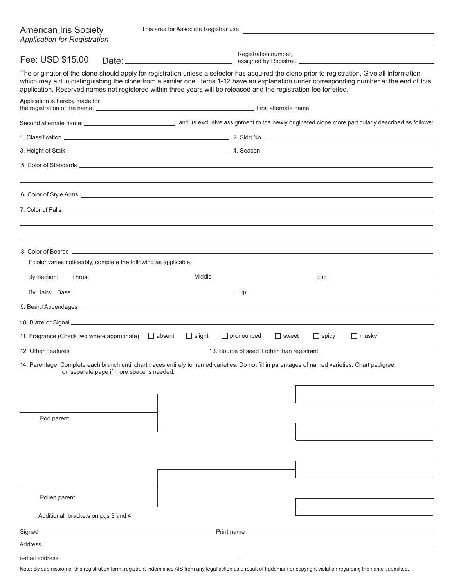| <b>American Iris Society</b><br><b>Application for Registration</b>                                                                                                                                                                                                  |                                                                   | This area for Associate Registrar use.                                                                                                                                                                                               |                                      |              |                                                                                                                                            |
|----------------------------------------------------------------------------------------------------------------------------------------------------------------------------------------------------------------------------------------------------------------------|-------------------------------------------------------------------|--------------------------------------------------------------------------------------------------------------------------------------------------------------------------------------------------------------------------------------|--------------------------------------|--------------|--------------------------------------------------------------------------------------------------------------------------------------------|
| Fee: USD \$15.00                                                                                                                                                                                                                                                     |                                                                   |                                                                                                                                                                                                                                      | Registration number,                 |              |                                                                                                                                            |
| The originator of the clone should apply for registration unless a selector has acquired the clone prior to registration. Give all information<br>application. Reserved names not registered within three years will be released and the registration fee forfeited. |                                                                   |                                                                                                                                                                                                                                      |                                      |              | which may aid in distinguishing the clone from a similar one. Items 1-12 have an explanation under corresponding number at the end of this |
| Application is hereby made for                                                                                                                                                                                                                                       |                                                                   |                                                                                                                                                                                                                                      |                                      |              |                                                                                                                                            |
|                                                                                                                                                                                                                                                                      |                                                                   |                                                                                                                                                                                                                                      |                                      |              | Second alternate name:<br>and its exclusive assignment to the newly originated clone more particularly described as follows:               |
|                                                                                                                                                                                                                                                                      |                                                                   |                                                                                                                                                                                                                                      |                                      |              |                                                                                                                                            |
|                                                                                                                                                                                                                                                                      |                                                                   | 3. Height of Stalk <u>Communications and the set of the set of the set of the set of the set of the set of the set of the set of the set of the set of the set of the set of the set of the set of the set of the set of the set</u> |                                      |              |                                                                                                                                            |
|                                                                                                                                                                                                                                                                      |                                                                   |                                                                                                                                                                                                                                      |                                      |              |                                                                                                                                            |
|                                                                                                                                                                                                                                                                      |                                                                   |                                                                                                                                                                                                                                      |                                      |              |                                                                                                                                            |
|                                                                                                                                                                                                                                                                      |                                                                   |                                                                                                                                                                                                                                      |                                      |              |                                                                                                                                            |
|                                                                                                                                                                                                                                                                      |                                                                   |                                                                                                                                                                                                                                      |                                      |              |                                                                                                                                            |
|                                                                                                                                                                                                                                                                      | If color varies noticeably, complete the following as applicable: |                                                                                                                                                                                                                                      |                                      |              |                                                                                                                                            |
| By Section:                                                                                                                                                                                                                                                          |                                                                   |                                                                                                                                                                                                                                      |                                      |              |                                                                                                                                            |
|                                                                                                                                                                                                                                                                      |                                                                   |                                                                                                                                                                                                                                      |                                      |              |                                                                                                                                            |
|                                                                                                                                                                                                                                                                      |                                                                   |                                                                                                                                                                                                                                      |                                      |              |                                                                                                                                            |
|                                                                                                                                                                                                                                                                      |                                                                   |                                                                                                                                                                                                                                      |                                      |              |                                                                                                                                            |
| 11. Fragrance (Check two where appropriate)                                                                                                                                                                                                                          | $\Box$ absent                                                     | $\Box$ slight                                                                                                                                                                                                                        | $\Box$ pronounced<br>$\square$ sweet | $\Box$ spicy | $\Box$ musky                                                                                                                               |
|                                                                                                                                                                                                                                                                      |                                                                   |                                                                                                                                                                                                                                      |                                      |              |                                                                                                                                            |
| 14. Parentage: Complete each branch until chart traces entirely to named varieties. Do not fill in parentages of named varieties. Chart pedigree                                                                                                                     | on separate page if more space is needed.                         |                                                                                                                                                                                                                                      |                                      |              |                                                                                                                                            |
| Pod parent                                                                                                                                                                                                                                                           |                                                                   |                                                                                                                                                                                                                                      |                                      |              |                                                                                                                                            |
|                                                                                                                                                                                                                                                                      |                                                                   |                                                                                                                                                                                                                                      |                                      |              |                                                                                                                                            |
|                                                                                                                                                                                                                                                                      |                                                                   |                                                                                                                                                                                                                                      |                                      |              |                                                                                                                                            |
| Pollen parent                                                                                                                                                                                                                                                        |                                                                   |                                                                                                                                                                                                                                      |                                      |              |                                                                                                                                            |
| Additional brackets on pgs 3 and 4                                                                                                                                                                                                                                   |                                                                   |                                                                                                                                                                                                                                      |                                      |              |                                                                                                                                            |
|                                                                                                                                                                                                                                                                      |                                                                   |                                                                                                                                                                                                                                      |                                      |              |                                                                                                                                            |
| Address and the contract of the contract of the contract of the contract of the contract of the contract of the contract of the contract of the contract of the contract of the contract of the contract of the contract of th                                       |                                                                   |                                                                                                                                                                                                                                      |                                      |              |                                                                                                                                            |
|                                                                                                                                                                                                                                                                      |                                                                   |                                                                                                                                                                                                                                      |                                      |              |                                                                                                                                            |

Note: By submission of this registration form, registrant indemnifies AIS from any legal action as a result of trademark or copyright violation regarding the name submitted.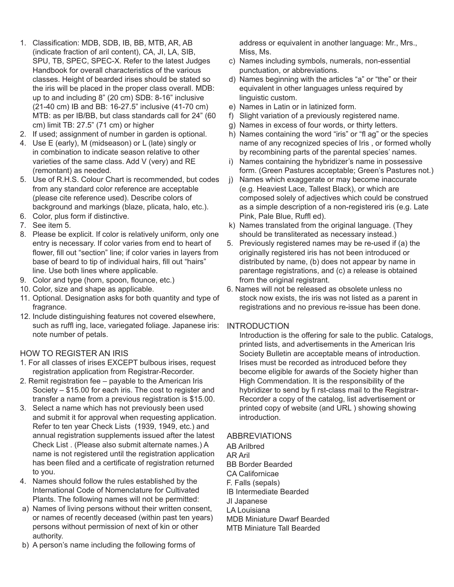- 1. Classification: MDB, SDB, IB, BB, MTB, AR, AB (indicate fraction of aril content), CA, JI, LA, SIB, SPU, TB, SPEC, SPEC-X. Refer to the latest Judges Handbook for overall characteristics of the various classes. Height of bearded irises should be stated so the iris will be placed in the proper class overall. MDB: up to and including 8" (20 cm) SDB: 8-16" inclusive (21-40 cm) IB and BB: 16-27.5" inclusive (41-70 cm) MTB: as per IB/BB, but class standards call for 24" (60 cm) limit TB: 27.5" (71 cm) or higher
- 2. If used; assignment of number in garden is optional.
- 4. Use E (early), M (midseason) or L (late) singly or in combination to indicate season relative to other varieties of the same class. Add V (very) and RE (remontant) as needed.
- 5. Use of R.H.S. Colour Chart is recommended, but codes from any standard color reference are acceptable (please cite reference used). Describe colors of background and markings (blaze, plicata, halo, etc.).
- 6. Color, plus form if distinctive.
- 7. See item 5.
- 8. Please be explicit. If color is relatively uniform, only one entry is necessary. If color varies from end to heart of flower, fill out "section" line; if color varies in layers from base of beard to tip of individual hairs, fill out "hairs" line. Use both lines where applicable.
- 9. Color and type (horn, spoon, flounce, etc.)
- 10. Color, size and shape as applicable.
- 11. Optional. Designation asks for both quantity and type of fragrance.
- 12. Include distinguishing features not covered elsewhere, such as ruffl ing, lace, variegated foliage. Japanese iris: note number of petals.

## HOW TO REGISTER AN IRIS

- 1. For all classes of irises EXCEPT bulbous irises, request registration application from Registrar-Recorder.
- 2. Remit registration fee payable to the American Iris Society – \$15.00 for each iris. The cost to register and transfer a name from a previous registration is \$15.00.
- 3. Select a name which has not previously been used and submit it for approval when requesting application. Refer to ten year Check Lists (1939, 1949, etc.) and annual registration supplements issued after the latest Check List . (Please also submit alternate names.) A name is not registered until the registration application has been filed and a certificate of registration returned to you.
- 4. Names should follow the rules established by the International Code of Nomenclature for Cultivated Plants. The following names will not be permitted:
- a) Names of living persons without their written consent, or names of recently deceased (within past ten years) persons without permission of next of kin or other authority.
- b) A person's name including the following forms of

address or equivalent in another language: Mr., Mrs., Miss, Ms.

- c) Names including symbols, numerals, non-essential punctuation, or abbreviations.
- d) Names beginning with the articles "a" or "the" or their equivalent in other languages unless required by linguistic custom.
- e) Names in Latin or in latinized form.
- f) Slight variation of a previously registered name.
- g) Names in excess of four words, or thirty letters.
- h) Names containing the word "iris" or "fl ag" or the species name of any recognized species of Iris , or formed wholly by recombining parts of the parental species' names.
- i) Names containing the hybridizer's name in possessive form. (Green Pastures acceptable; Green's Pastures not.)
- j) Names which exaggerate or may become inaccurate (e.g. Heaviest Lace, Tallest Black), or which are composed solely of adjectives which could be construed as a simple description of a non-registered iris (e.g. Late Pink, Pale Blue, Ruffl ed).
- k) Names translated from the original language. (They should be transliterated as necessary instead.)
- 5. Previously registered names may be re-used if (a) the originally registered iris has not been introduced or distributed by name, (b) does not appear by name in parentage registrations, and (c) a release is obtained from the original registrant.
- 6. Names will not be released as obsolete unless no stock now exists, the iris was not listed as a parent in registrations and no previous re-issue has been done.

## INTRODUCTION

Introduction is the offering for sale to the public. Catalogs, printed lists, and advertisements in the American Iris Society Bulletin are acceptable means of introduction. Irises must be recorded as introduced before they become eligible for awards of the Society higher than High Commendation. It is the responsibility of the hybridizer to send by fi rst-class mail to the Registrar-Recorder a copy of the catalog, list advertisement or printed copy of website (and URL ) showing showing introduction.

## ABBREVIATIONS

AB Arilbred AR Aril BB Border Bearded CA Californicae F. Falls (sepals) IB Intermediate Bearded JI Japanese LA Louisiana MDB Miniature Dwarf Bearded MTB Miniature Tall Bearded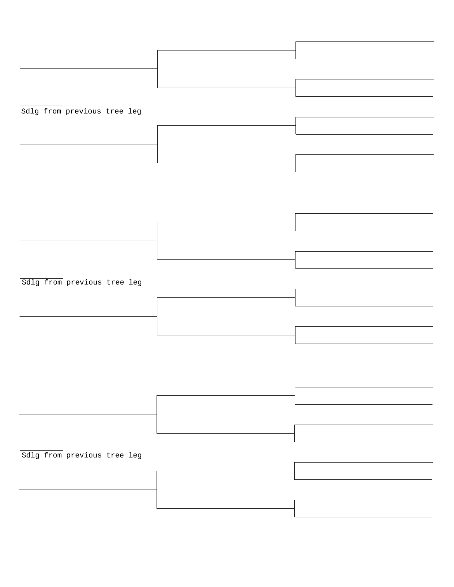